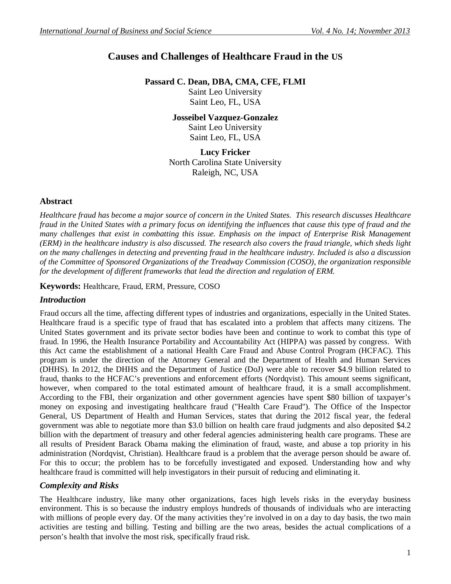# **Causes and Challenges of Healthcare Fraud in the US**

**Passard C. Dean, DBA, CMA, CFE, FLMI**

Saint Leo University Saint Leo, FL, USA

**Josseibel Vazquez-Gonzalez** Saint Leo University Saint Leo, FL, USA

**Lucy Fricker** North Carolina State University Raleigh, NC, USA

### **Abstract**

*Healthcare fraud has become a major source of concern in the United States. This research discusses Healthcare fraud in the United States with a primary focus on identifying the influences that cause this type of fraud and the many challenges that exist in combatting this issue. Emphasis on the impact of Enterprise Risk Management (ERM) in the healthcare industry is also discussed. The research also covers the fraud triangle, which sheds light on the many challenges in detecting and preventing fraud in the healthcare industry. Included is also a discussion of the Committee of Sponsored Organizations of the Treadway Commission (COSO), the organization responsible for the development of different frameworks that lead the direction and regulation of ERM.*

**Keywords:** Healthcare, Fraud, ERM, Pressure, COSO

# *Introduction*

Fraud occurs all the time, affecting different types of industries and organizations, especially in the United States. Healthcare fraud is a specific type of fraud that has escalated into a problem that affects many citizens. The United States government and its private sector bodies have been and continue to work to combat this type of fraud. In 1996, the Health Insurance Portability and Accountability Act (HIPPA) was passed by congress. With this Act came the establishment of a national Health Care Fraud and Abuse Control Program (HCFAC). This program is under the direction of the Attorney General and the Department of Health and Human Services (DHHS). In 2012, the DHHS and the Department of Justice (DoJ) were able to recover \$4.9 billion related to fraud, thanks to the HCFAC's preventions and enforcement efforts (Nordqvist). This amount seems significant, however, when compared to the total estimated amount of healthcare fraud, it is a small accomplishment. According to the FBI, their organization and other government agencies have spent \$80 billion of taxpayer's money on exposing and investigating healthcare fraud ("Health Care Fraud"). The Office of the Inspector General, US Department of Health and Human Services, states that during the 2012 fiscal year, the federal government was able to negotiate more than \$3.0 billion on health care fraud judgments and also deposited \$4.2 billion with the department of treasury and other federal agencies administering health care programs. These are all results of President Barack Obama making the elimination of fraud, waste, and abuse a top priority in his administration (Nordqvist, Christian). Healthcare fraud is a problem that the average person should be aware of. For this to occur; the problem has to be forcefully investigated and exposed. Understanding how and why healthcare fraud is committed will help investigators in their pursuit of reducing and eliminating it.

# *Complexity and Risks*

The Healthcare industry, like many other organizations, faces high levels risks in the everyday business environment. This is so because the industry employs hundreds of thousands of individuals who are interacting with millions of people every day. Of the many activities they're involved in on a day to day basis, the two main activities are testing and billing. Testing and billing are the two areas, besides the actual complications of a person's health that involve the most risk, specifically fraud risk.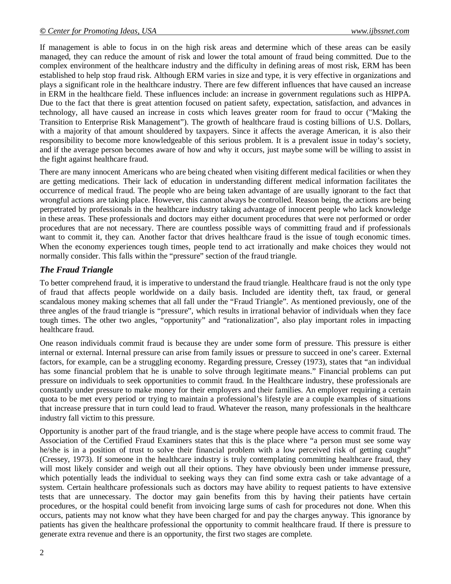If management is able to focus in on the high risk areas and determine which of these areas can be easily managed, they can reduce the amount of risk and lower the total amount of fraud being committed. Due to the complex environment of the healthcare industry and the difficulty in defining areas of most risk, ERM has been established to help stop fraud risk. Although ERM varies in size and type, it is very effective in organizations and plays a significant role in the healthcare industry. There are few different influences that have caused an increase in ERM in the healthcare field. These influences include: an increase in government regulations such as HIPPA. Due to the fact that there is great attention focused on patient safety, expectation, satisfaction, and advances in technology, all have caused an increase in costs which leaves greater room for fraud to occur ("Making the Transition to Enterprise Risk Management"). The growth of healthcare fraud is costing billions of U.S. Dollars, with a majority of that amount shouldered by taxpayers. Since it affects the average American, it is also their responsibility to become more knowledgeable of this serious problem. It is a prevalent issue in today's society, and if the average person becomes aware of how and why it occurs, just maybe some will be willing to assist in the fight against healthcare fraud.

There are many innocent Americans who are being cheated when visiting different medical facilities or when they are getting medications. Their lack of education in understanding different medical information facilitates the occurrence of medical fraud. The people who are being taken advantage of are usually ignorant to the fact that wrongful actions are taking place. However, this cannot always be controlled. Reason being, the actions are being perpetrated by professionals in the healthcare industry taking advantage of innocent people who lack knowledge in these areas. These professionals and doctors may either document procedures that were not performed or order procedures that are not necessary. There are countless possible ways of committing fraud and if professionals want to commit it, they can. Another factor that drives healthcare fraud is the issue of tough economic times. When the economy experiences tough times, people tend to act irrationally and make choices they would not normally consider. This falls within the "pressure" section of the fraud triangle.

#### *The Fraud Triangle*

To better comprehend fraud, it is imperative to understand the fraud triangle. Healthcare fraud is not the only type of fraud that affects people worldwide on a daily basis. Included are identity theft, tax fraud, or general scandalous money making schemes that all fall under the "Fraud Triangle". As mentioned previously, one of the three angles of the fraud triangle is "pressure", which results in irrational behavior of individuals when they face tough times. The other two angles, "opportunity" and "rationalization", also play important roles in impacting healthcare fraud.

One reason individuals commit fraud is because they are under some form of pressure. This pressure is either internal or external. Internal pressure can arise from family issues or pressure to succeed in one's career. External factors, for example, can be a struggling economy. Regarding pressure, Cressey (1973), states that "an individual has some financial problem that he is unable to solve through legitimate means." Financial problems can put pressure on individuals to seek opportunities to commit fraud. In the Healthcare industry, these professionals are constantly under pressure to make money for their employers and their families. An employer requiring a certain quota to be met every period or trying to maintain a professional's lifestyle are a couple examples of situations that increase pressure that in turn could lead to fraud. Whatever the reason, many professionals in the healthcare industry fall victim to this pressure.

Opportunity is another part of the fraud triangle, and is the stage where people have access to commit fraud. The Association of the Certified Fraud Examiners states that this is the place where "a person must see some way he/she is in a position of trust to solve their financial problem with a low perceived risk of getting caught" (Cressey, 1973). If someone in the healthcare industry is truly contemplating committing healthcare fraud, they will most likely consider and weigh out all their options. They have obviously been under immense pressure, which potentially leads the individual to seeking ways they can find some extra cash or take advantage of a system. Certain healthcare professionals such as doctors may have ability to request patients to have extensive tests that are unnecessary. The doctor may gain benefits from this by having their patients have certain procedures, or the hospital could benefit from invoicing large sums of cash for procedures not done. When this occurs, patients may not know what they have been charged for and pay the charges anyway. This ignorance by patients has given the healthcare professional the opportunity to commit healthcare fraud. If there is pressure to generate extra revenue and there is an opportunity, the first two stages are complete.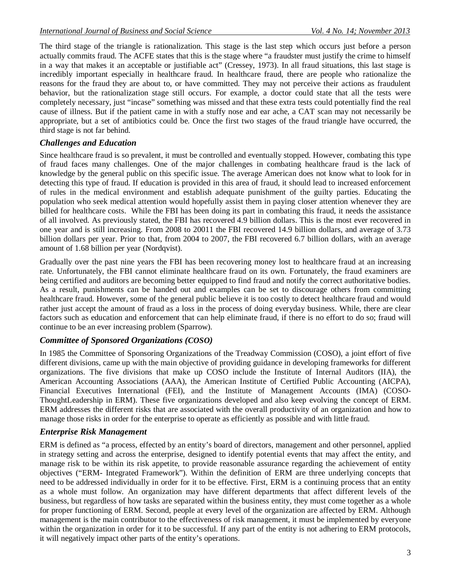The third stage of the triangle is rationalization. This stage is the last step which occurs just before a person actually commits fraud. The ACFE states that this is the stage where "a fraudster must justify the crime to himself in a way that makes it an acceptable or justifiable act" (Cressey, 1973). In all fraud situations, this last stage is incredibly important especially in healthcare fraud. In healthcare fraud, there are people who rationalize the reasons for the fraud they are about to, or have committed. They may not perceive their actions as fraudulent behavior, but the rationalization stage still occurs. For example, a doctor could state that all the tests were completely necessary, just "incase" something was missed and that these extra tests could potentially find the real cause of illness. But if the patient came in with a stuffy nose and ear ache, a CAT scan may not necessarily be appropriate, but a set of antibiotics could be. Once the first two stages of the fraud triangle have occurred, the third stage is not far behind.

#### *Challenges and Education*

Since healthcare fraud is so prevalent, it must be controlled and eventually stopped. However, combating this type of fraud faces many challenges. One of the major challenges in combating healthcare fraud is the lack of knowledge by the general public on this specific issue. The average American does not know what to look for in detecting this type of fraud. If education is provided in this area of fraud, it should lead to increased enforcement of rules in the medical environment and establish adequate punishment of the guilty parties. Educating the population who seek medical attention would hopefully assist them in paying closer attention whenever they are billed for healthcare costs. While the FBI has been doing its part in combating this fraud, it needs the assistance of all involved. As previously stated, the FBI has recovered 4.9 billion dollars. This is the most ever recovered in one year and is still increasing. From 2008 to 20011 the FBI recovered 14.9 billion dollars, and average of 3.73 billion dollars per year. Prior to that, from 2004 to 2007, the FBI recovered 6.7 billion dollars, with an average amount of 1.68 billion per year (Nordqvist).

Gradually over the past nine years the FBI has been recovering money lost to healthcare fraud at an increasing rate. Unfortunately, the FBI cannot eliminate healthcare fraud on its own. Fortunately, the fraud examiners are being certified and auditors are becoming better equipped to find fraud and notify the correct authoritative bodies. As a result, punishments can be handed out and examples can be set to discourage others from committing healthcare fraud. However, some of the general public believe it is too costly to detect healthcare fraud and would rather just accept the amount of fraud as a loss in the process of doing everyday business. While, there are clear factors such as education and enforcement that can help eliminate fraud, if there is no effort to do so; fraud will continue to be an ever increasing problem (Sparrow).

#### *Committee of Sponsored Organizations (COSO)*

In 1985 the Committee of Sponsoring Organizations of the Treadway Commission (COSO), a joint effort of five different divisions, came up with the main objective of providing guidance in developing frameworks for different organizations. The five divisions that make up COSO include the Institute of Internal Auditors (IIA), the American Accounting Associations (AAA), the American Institute of Certified Public Accounting (AICPA), Financial Executives International (FEI), and the Institute of Management Accounts (IMA) (COSO-ThoughtLeadership in ERM). These five organizations developed and also keep evolving the concept of ERM. ERM addresses the different risks that are associated with the overall productivity of an organization and how to manage those risks in order for the enterprise to operate as efficiently as possible and with little fraud.

### *Enterprise Risk Management*

ERM is defined as "a process, effected by an entity's board of directors, management and other personnel, applied in strategy setting and across the enterprise, designed to identify potential events that may affect the entity, and manage risk to be within its risk appetite, to provide reasonable assurance regarding the achievement of entity objectives ("ERM- Integrated Framework"). Within the definition of ERM are three underlying concepts that need to be addressed individually in order for it to be effective. First, ERM is a continuing process that an entity as a whole must follow. An organization may have different departments that affect different levels of the business, but regardless of how tasks are separated within the business entity, they must come together as a whole for proper functioning of ERM. Second, people at every level of the organization are affected by ERM. Although management is the main contributor to the effectiveness of risk management, it must be implemented by everyone within the organization in order for it to be successful. If any part of the entity is not adhering to ERM protocols, it will negatively impact other parts of the entity's operations.